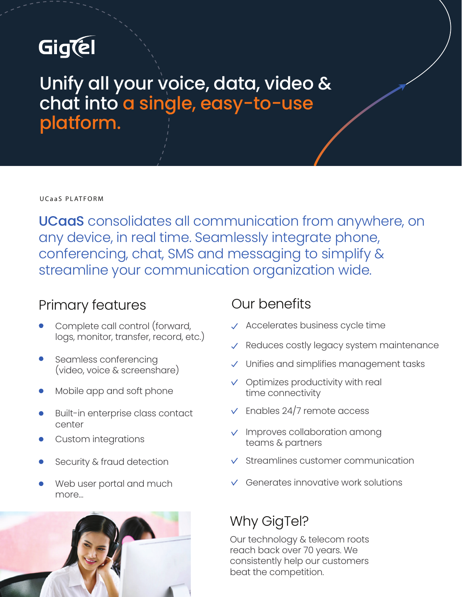# GigCel

## Unify all your voice, data, video & chat into a single, easy-to-use platform.

UCaaS PLATFORM

UCaaS consolidates all communication from anywhere, on any device, in real time. Seamlessly integrate phone, conferencing, chat, SMS and messaging to simplify & streamline your communication organization wide.

## Primary features

- Complete call control (forward, logs, monitor, transfer, record, etc.)
- Seamless conferencing (video, voice & screenshare)
- Mobile app and soft phone
- Built-in enterprise class contact center
- Custom integrations
- Security & fraud detection
- Web user portal and much more…



## Our benefits

- $\sqrt{\phantom{a}}$  Accelerates business cycle time
- $\sqrt{\ }$  Reduces costly legacy system maintenance
- Unifies and simplifies management tasks
- $\vee$  Optimizes productivity with real time connectivity
- $\sqrt{\ }$  Enables 24/7 remote access
- $\vee$  Improves collaboration among teams & partners
- $\vee$  Streamlines customer communication
- Generates innovative work solutions

## Why GigTel?

Our technology & telecom roots reach back over 70 years. We consistently help our customers beat the competition.